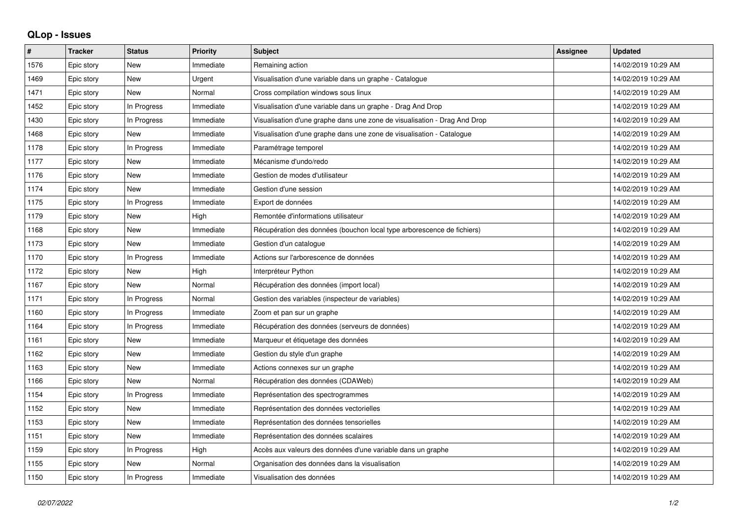## **QLop - Issues**

| ∦    | <b>Tracker</b> | <b>Status</b> | <b>Priority</b> | <b>Subject</b>                                                            | <b>Assignee</b> | <b>Updated</b>      |
|------|----------------|---------------|-----------------|---------------------------------------------------------------------------|-----------------|---------------------|
| 1576 | Epic story     | New           | Immediate       | Remaining action                                                          |                 | 14/02/2019 10:29 AM |
| 1469 | Epic story     | <b>New</b>    | Urgent          | Visualisation d'une variable dans un graphe - Catalogue                   |                 | 14/02/2019 10:29 AM |
| 1471 | Epic story     | <b>New</b>    | Normal          | Cross compilation windows sous linux                                      |                 | 14/02/2019 10:29 AM |
| 1452 | Epic story     | In Progress   | Immediate       | Visualisation d'une variable dans un graphe - Drag And Drop               |                 | 14/02/2019 10:29 AM |
| 1430 | Epic story     | In Progress   | Immediate       | Visualisation d'une graphe dans une zone de visualisation - Drag And Drop |                 | 14/02/2019 10:29 AM |
| 1468 | Epic story     | <b>New</b>    | Immediate       | Visualisation d'une graphe dans une zone de visualisation - Catalogue     |                 | 14/02/2019 10:29 AM |
| 1178 | Epic story     | In Progress   | Immediate       | Paramétrage temporel                                                      |                 | 14/02/2019 10:29 AM |
| 1177 | Epic story     | <b>New</b>    | Immediate       | Mécanisme d'undo/redo                                                     |                 | 14/02/2019 10:29 AM |
| 1176 | Epic story     | <b>New</b>    | Immediate       | Gestion de modes d'utilisateur                                            |                 | 14/02/2019 10:29 AM |
| 1174 | Epic story     | <b>New</b>    | Immediate       | Gestion d'une session                                                     |                 | 14/02/2019 10:29 AM |
| 1175 | Epic story     | In Progress   | Immediate       | Export de données                                                         |                 | 14/02/2019 10:29 AM |
| 1179 | Epic story     | <b>New</b>    | High            | Remontée d'informations utilisateur                                       |                 | 14/02/2019 10:29 AM |
| 1168 | Epic story     | <b>New</b>    | Immediate       | Récupération des données (bouchon local type arborescence de fichiers)    |                 | 14/02/2019 10:29 AM |
| 1173 | Epic story     | <b>New</b>    | Immediate       | Gestion d'un catalogue                                                    |                 | 14/02/2019 10:29 AM |
| 1170 | Epic story     | In Progress   | Immediate       | Actions sur l'arborescence de données                                     |                 | 14/02/2019 10:29 AM |
| 1172 | Epic story     | <b>New</b>    | High            | Interpréteur Python                                                       |                 | 14/02/2019 10:29 AM |
| 1167 | Epic story     | <b>New</b>    | Normal          | Récupération des données (import local)                                   |                 | 14/02/2019 10:29 AM |
| 1171 | Epic story     | In Progress   | Normal          | Gestion des variables (inspecteur de variables)                           |                 | 14/02/2019 10:29 AM |
| 1160 | Epic story     | In Progress   | Immediate       | Zoom et pan sur un graphe                                                 |                 | 14/02/2019 10:29 AM |
| 1164 | Epic story     | In Progress   | Immediate       | Récupération des données (serveurs de données)                            |                 | 14/02/2019 10:29 AM |
| 1161 | Epic story     | <b>New</b>    | Immediate       | Marqueur et étiquetage des données                                        |                 | 14/02/2019 10:29 AM |
| 1162 | Epic story     | <b>New</b>    | Immediate       | Gestion du style d'un graphe                                              |                 | 14/02/2019 10:29 AM |
| 1163 | Epic story     | <b>New</b>    | Immediate       | Actions connexes sur un graphe                                            |                 | 14/02/2019 10:29 AM |
| 1166 | Epic story     | New           | Normal          | Récupération des données (CDAWeb)                                         |                 | 14/02/2019 10:29 AM |
| 1154 | Epic story     | In Progress   | Immediate       | Représentation des spectrogrammes                                         |                 | 14/02/2019 10:29 AM |
| 1152 | Epic story     | <b>New</b>    | Immediate       | Représentation des données vectorielles                                   |                 | 14/02/2019 10:29 AM |
| 1153 | Epic story     | <b>New</b>    | Immediate       | Représentation des données tensorielles                                   |                 | 14/02/2019 10:29 AM |
| 1151 | Epic story     | <b>New</b>    | Immediate       | Représentation des données scalaires                                      |                 | 14/02/2019 10:29 AM |
| 1159 | Epic story     | In Progress   | High            | Accès aux valeurs des données d'une variable dans un graphe               |                 | 14/02/2019 10:29 AM |
| 1155 | Epic story     | <b>New</b>    | Normal          | Organisation des données dans la visualisation                            |                 | 14/02/2019 10:29 AM |
| 1150 | Epic story     | In Progress   | Immediate       | Visualisation des données                                                 |                 | 14/02/2019 10:29 AM |